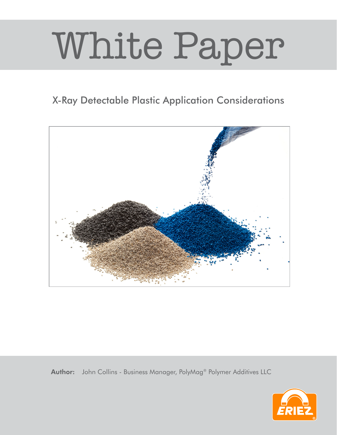## White Paper

## X-Ray Detectable Plastic Application Considerations